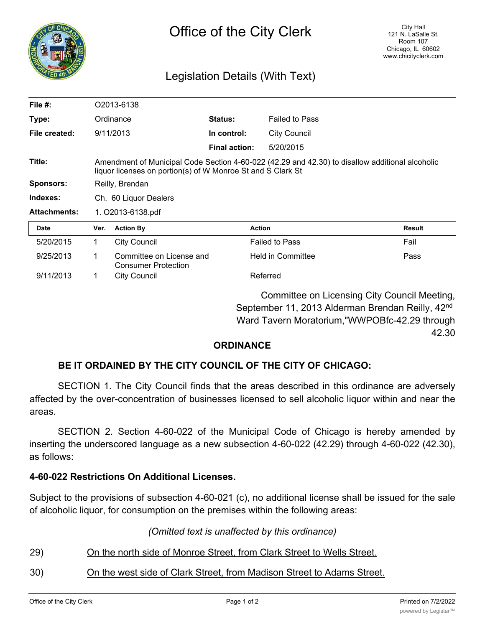

# Legislation Details (With Text)

| File $#$ :          | O2013-6138                                                                                                                                                     |                                                        |                |                          |               |
|---------------------|----------------------------------------------------------------------------------------------------------------------------------------------------------------|--------------------------------------------------------|----------------|--------------------------|---------------|
| Type:               | Ordinance                                                                                                                                                      |                                                        | <b>Status:</b> | <b>Failed to Pass</b>    |               |
| File created:       |                                                                                                                                                                | 9/11/2013                                              | In control:    | <b>City Council</b>      |               |
|                     |                                                                                                                                                                |                                                        | Final action:  | 5/20/2015                |               |
| Title:              | Amendment of Municipal Code Section 4-60-022 (42.29 and 42.30) to disallow additional alcoholic<br>liquor licenses on portion(s) of W Monroe St and S Clark St |                                                        |                |                          |               |
| <b>Sponsors:</b>    | Reilly, Brendan                                                                                                                                                |                                                        |                |                          |               |
| Indexes:            | Ch. 60 Liquor Dealers                                                                                                                                          |                                                        |                |                          |               |
| <b>Attachments:</b> | 1. O2013-6138.pdf                                                                                                                                              |                                                        |                |                          |               |
| Date                | Ver.                                                                                                                                                           | <b>Action By</b>                                       |                | <b>Action</b>            | <b>Result</b> |
| 5/20/2015           | 1.                                                                                                                                                             | <b>City Council</b>                                    |                | <b>Failed to Pass</b>    | Fail          |
| 9/25/2013           | 1                                                                                                                                                              | Committee on License and<br><b>Consumer Protection</b> |                | <b>Held in Committee</b> | Pass          |
| 9/11/2013           | 1.                                                                                                                                                             | <b>City Council</b>                                    |                | Referred                 |               |
|                     | Committee on Licensing City Council Meeting,                                                                                                                   |                                                        |                |                          |               |

September 11, 2013 Alderman Brendan Reilly, 42<sup>nd</sup> Ward Tavern Moratorium,"WWPOBfc-42.29 through 42.30

### **ORDINANCE**

# **BE IT ORDAINED BY THE CITY COUNCIL OF THE CITY OF CHICAGO:**

SECTION 1. The City Council finds that the areas described in this ordinance are adversely affected by the over-concentration of businesses licensed to sell alcoholic liquor within and near the areas.

SECTION 2. Section 4-60-022 of the Municipal Code of Chicago is hereby amended by inserting the underscored language as a new subsection 4-60-022 (42.29) through 4-60-022 (42.30), as follows:

# **4-60-022 Restrictions On Additional Licenses.**

Subject to the provisions of subsection 4-60-021 (c), no additional license shall be issued for the sale of alcoholic liquor, for consumption on the premises within the following areas:

### *(Omitted text is unaffected by this ordinance)*

- 29) On the north side of Monroe Street, from Clark Street to Wells Street.
- 30) On the west side of Clark Street, from Madison Street to Adams Street.